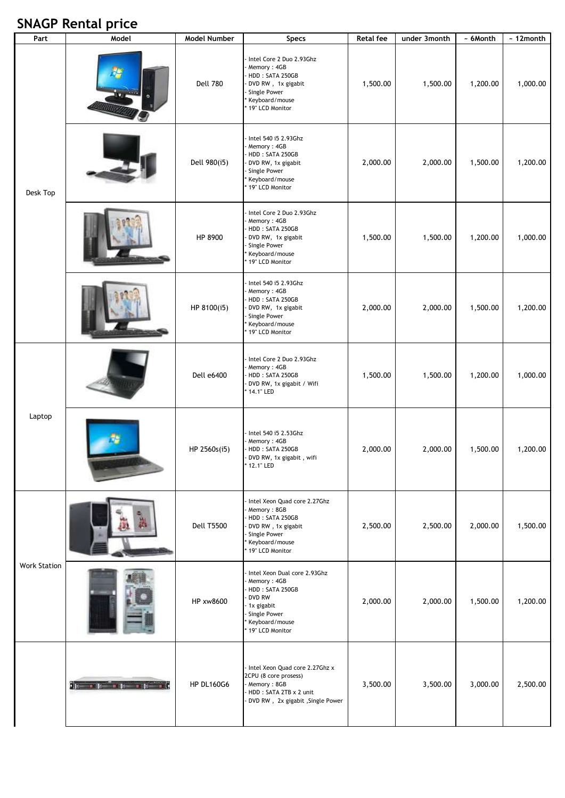## **SNAGP Rental price**

| Part                | Model                                                                                                                                                                                                                          | Model Number      | Specs                                                                                                                                       | <b>Retal fee</b> | under 3month | ~ 6Month | $\overline{\phantom{a}}$ 12 month |
|---------------------|--------------------------------------------------------------------------------------------------------------------------------------------------------------------------------------------------------------------------------|-------------------|---------------------------------------------------------------------------------------------------------------------------------------------|------------------|--------------|----------|-----------------------------------|
| Desk Top            |                                                                                                                                                                                                                                | <b>Dell 780</b>   | Intel Core 2 Duo 2.93Ghz<br>Memory: 4GB<br>HDD: SATA 250GB<br>DVD RW, 1x gigabit<br>Single Power<br>Keyboard/mouse<br>19" LCD Monitor       | 1,500.00         | 1,500.00     | 1,200.00 | 1,000.00                          |
|                     |                                                                                                                                                                                                                                | Dell 980(i5)      | Intel 540 i5 2.93Ghz<br>Memory: 4GB<br>HDD: SATA 250GB<br>DVD RW, 1x gigabit<br>Single Power<br>Keyboard/mouse<br>19" LCD Monitor           | 2,000.00         | 2,000.00     | 1,500.00 | 1,200.00                          |
|                     |                                                                                                                                                                                                                                | HP 8900           | Intel Core 2 Duo 2.93Ghz<br>Memory: 4GB<br>HDD: SATA 250GB<br>DVD RW, 1x gigabit<br>Single Power<br>Keyboard/mouse<br>19" LCD Monitor       | 1,500.00         | 1,500.00     | 1,200.00 | 1,000.00                          |
|                     |                                                                                                                                                                                                                                | HP 8100(i5)       | Intel 540 i5 2.93Ghz<br>Memory: 4GB<br>HDD: SATA 250GB<br>DVD RW, 1x gigabit<br>Single Power<br>Keyboard/mouse<br>19" LCD Monitor           | 2,000.00         | 2,000.00     | 1,500.00 | 1,200.00                          |
| Laptop              |                                                                                                                                                                                                                                | Dell e6400        | Intel Core 2 Duo 2.93Ghz<br>Memory: 4GB<br>HDD: SATA 250GB<br>DVD RW, 1x gigabit / Wifi<br>14.1" LED                                        | 1,500.00         | 1,500.00     | 1,200.00 | 1,000.00                          |
|                     |                                                                                                                                                                                                                                | HP 2560s(i5)      | Intel 540 i5 2.53Ghz<br>Memory: 4GB<br>HDD: SATA 250GB<br>DVD RW, 1x gigabit, wifi<br>* 12.1" LED                                           | 2,000.00         | 2,000.00     | 1,500.00 | 1,200.00                          |
| <b>Work Station</b> |                                                                                                                                                                                                                                | <b>Dell T5500</b> | Intel Xeon Quad core 2.27Ghz<br>Memory: 8GB<br>HDD: SATA 250GB<br>DVD RW, 1x gigabit<br>Single Power<br>Keyboard/mouse<br>19" LCD Monitor   | 2,500.00         | 2,500.00     | 2,000.00 | 1,500.00                          |
|                     |                                                                                                                                                                                                                                | HP xw8600         | Intel Xeon Dual core 2.93Ghz<br>Memory: 4GB<br>HDD: SATA 250GB<br>DVD RW<br>1x gigabit<br>Single Power<br>Keyboard/mouse<br>19" LCD Monitor | 2,000.00         | 2,000.00     | 1,500.00 | 1,200.00                          |
|                     | Spring and the state of the state of the state of the state of the state of the state of the state of the state of the state of the state of the state of the state of the state of the state of the state of the state of the | <b>HP DL160G6</b> | Intel Xeon Quad core 2.27Ghz x<br>2CPU (8 core prosess)<br>Memory: 8GB<br>HDD: SATA 2TB x 2 unit<br>DVD RW, 2x gigabit, Single Power        | 3,500.00         | 3,500.00     | 3,000.00 | 2,500.00                          |